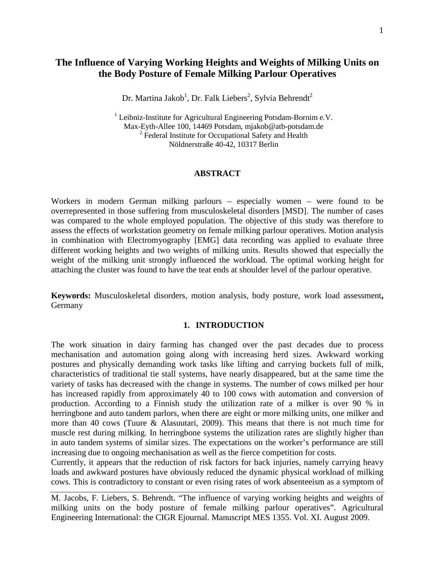# **The Influence of Varying Working Heights and Weights of Milking Units on the Body Posture of Female Milking Parlour Operatives**

Dr. Martina Jakob $^1$ , Dr. Falk Liebers $^2$ , Sylvia Behrendt $^2$ 

 $1$  Leibniz-Institute for Agricultural Engineering Potsdam-Bornim e.V. Max-Eyth-Allee 100, 14469 Potsdam, mjakob@atb-potsdam.de <sup>2</sup> Federal Institute for Occupational Safety and Health Nöldnerstraße 40-42, 10317 Berlin

### **ABSTRACT**

Workers in modern German milking parlours – especially women – were found to be overrepresented in those suffering from musculoskeletal disorders [MSD]. The number of cases was compared to the whole employed population. The objective of this study was therefore to assess the effects of workstation geometry on female milking parlour operatives. Motion analysis in combination with Electromyography [EMG] data recording was applied to evaluate three different working heights and two weights of milking units. Results showed that especially the weight of the milking unit strongly influenced the workload. The optimal working height for attaching the cluster was found to have the teat ends at shoulder level of the parlour operative.

**Keywords:** Musculoskeletal disorders, motion analysis, body posture, work load assessment**,**  Germany

#### **1. INTRODUCTION**

The work situation in dairy farming has changed over the past decades due to process mechanisation and automation going along with increasing herd sizes. Awkward working postures and physically demanding work tasks like lifting and carrying buckets full of milk, characteristics of traditional tie stall systems, have nearly disappeared, but at the same time the variety of tasks has decreased with the change in systems. The number of cows milked per hour has increased rapidly from approximately 40 to 100 cows with automation and conversion of production. According to a Finnish study the utilization rate of a milker is over 90 % in herringbone and auto tandem parlors, when there are eight or more milking units, one milker and more than 40 cows (Tuure & Alasuutari, 2009). This means that there is not much time for muscle rest during milking. In herringbone systems the utilization rates are slightly higher than in auto tandem systems of similar sizes. The expectations on the worker's performance are still increasing due to ongoing mechanisation as well as the fierce competition for costs.

Currently, it appears that the reduction of risk factors for back injuries, namely carrying heavy loads and awkward postures have obviously reduced the dynamic physical workload of milking cows. This is contradictory to constant or even rising rates of work absenteeism as a symptom of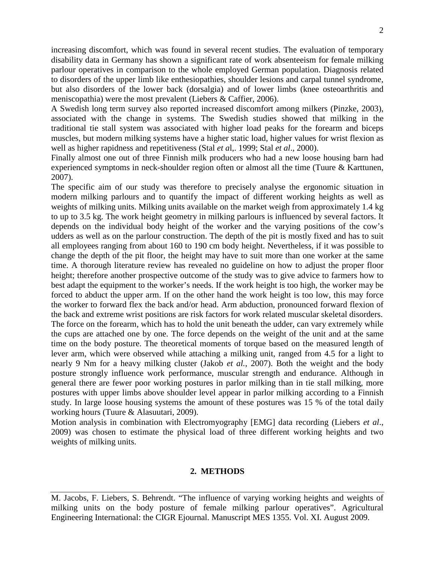increasing discomfort, which was found in several recent studies. The evaluation of temporary disability data in Germany has shown a significant rate of work absenteeism for female milking parlour operatives in comparison to the whole employed German population. Diagnosis related to disorders of the upper limb like enthesiopathies, shoulder lesions and carpal tunnel syndrome, but also disorders of the lower back (dorsalgia) and of lower limbs (knee osteoarthritis and meniscopathia) were the most prevalent (Liebers & Caffier, 2006).

A Swedish long term survey also reported increased discomfort among milkers (Pinzke, 2003), associated with the change in systems. The Swedish studies showed that milking in the traditional tie stall system was associated with higher load peaks for the forearm and biceps muscles, but modern milking systems have a higher static load, higher values for wrist flexion as well as higher rapidness and repetitiveness (Stal *et a*l,. 1999; Stal *et al*., 2000).

Finally almost one out of three Finnish milk producers who had a new loose housing barn had experienced symptoms in neck-shoulder region often or almost all the time (Tuure & Karttunen, 2007).

The specific aim of our study was therefore to precisely analyse the ergonomic situation in modern milking parlours and to quantify the impact of different working heights as well as weights of milking units. Milking units available on the market weigh from approximately 1.4 kg to up to 3.5 kg. The work height geometry in milking parlours is influenced by several factors. It depends on the individual body height of the worker and the varying positions of the cow's udders as well as on the parlour construction. The depth of the pit is mostly fixed and has to suit all employees ranging from about 160 to 190 cm body height. Nevertheless, if it was possible to change the depth of the pit floor, the height may have to suit more than one worker at the same time. A thorough literature review has revealed no guideline on how to adjust the proper floor height; therefore another prospective outcome of the study was to give advice to farmers how to best adapt the equipment to the worker's needs. If the work height is too high, the worker may be forced to abduct the upper arm. If on the other hand the work height is too low, this may force the worker to forward flex the back and/or head. Arm abduction, pronounced forward flexion of the back and extreme wrist positions are risk factors for work related muscular skeletal disorders. The force on the forearm, which has to hold the unit beneath the udder, can vary extremely while the cups are attached one by one. The force depends on the weight of the unit and at the same time on the body posture. The theoretical moments of torque based on the measured length of lever arm, which were observed while attaching a milking unit, ranged from 4.5 for a light to nearly 9 Nm for a heavy milking cluster (Jakob *et al.*, 2007). Both the weight and the body posture strongly influence work performance, muscular strength and endurance. Although in general there are fewer poor working postures in parlor milking than in tie stall milking, more postures with upper limbs above shoulder level appear in parlor milking according to a Finnish study. In large loose housing systems the amount of these postures was 15 % of the total daily working hours (Tuure & Alasuutari, 2009).

Motion analysis in combination with Electromyography [EMG] data recording (Liebers *et al*., 2009) was chosen to estimate the physical load of three different working heights and two weights of milking units.

### **2. METHODS**

M. Jacobs, F. Liebers, S. Behrendt. "The influence of varying working heights and weights of milking units on the body posture of female milking parlour operatives". Agricultural Engineering International: the CIGR Ejournal. Manuscript MES 1355. Vol. XI. August 2009.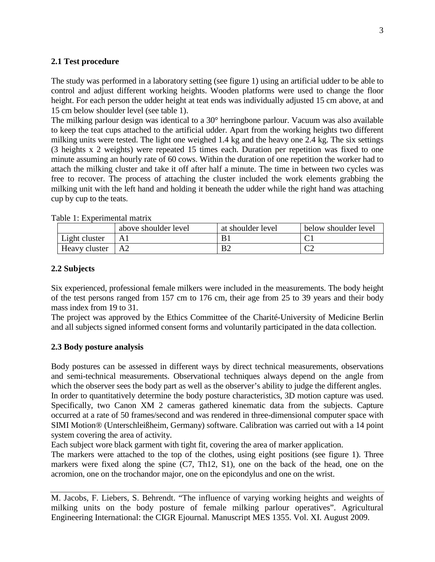### **2.1 Test procedure**

The study was performed in a laboratory setting (see figure 1) using an artificial udder to be able to control and adjust different working heights. Wooden platforms were used to change the floor height. For each person the udder height at teat ends was individually adjusted 15 cm above, at and 15 cm below shoulder level (see table 1).

The milking parlour design was identical to a 30° herringbone parlour. Vacuum was also available to keep the teat cups attached to the artificial udder. Apart from the working heights two different milking units were tested. The light one weighed 1.4 kg and the heavy one 2.4 kg. The six settings (3 heights x 2 weights) were repeated 15 times each. Duration per repetition was fixed to one minute assuming an hourly rate of 60 cows. Within the duration of one repetition the worker had to attach the milking cluster and take it off after half a minute. The time in between two cycles was free to recover. The process of attaching the cluster included the work elements grabbing the milking unit with the left hand and holding it beneath the udder while the right hand was attaching cup by cup to the teats.

|               | above shoulder level | at shoulder level | below shoulder level |
|---------------|----------------------|-------------------|----------------------|
| Light cluster |                      | B1                |                      |
| Heavy cluster | A <sub>2</sub>       | B <sub>2</sub>    | ◡▵                   |

Table 1: Experimental matrix

## **2.2 Subjects**

Six experienced, professional female milkers were included in the measurements. The body height of the test persons ranged from 157 cm to 176 cm, their age from 25 to 39 years and their body mass index from 19 to 31.

The project was approved by the Ethics Committee of the Charité-University of Medicine Berlin and all subjects signed informed consent forms and voluntarily participated in the data collection.

## **2.3 Body posture analysis**

Body postures can be assessed in different ways by direct technical measurements, observations and semi-technical measurements. Observational techniques always depend on the angle from which the observer sees the body part as well as the observer's ability to judge the different angles. In order to quantitatively determine the body posture characteristics, 3D motion capture was used. Specifically, two Canon XM 2 cameras gathered kinematic data from the subjects. Capture occurred at a rate of 50 frames/second and was rendered in three-dimensional computer space with SIMI Motion® (Unterschleißheim, Germany) software. Calibration was carried out with a 14 point system covering the area of activity.

Each subject wore black garment with tight fit, covering the area of marker application.

The markers were attached to the top of the clothes, using eight positions (see figure 1). Three markers were fixed along the spine (C7, Th12, S1), one on the back of the head, one on the acromion, one on the trochandor major, one on the epicondylus and one on the wrist.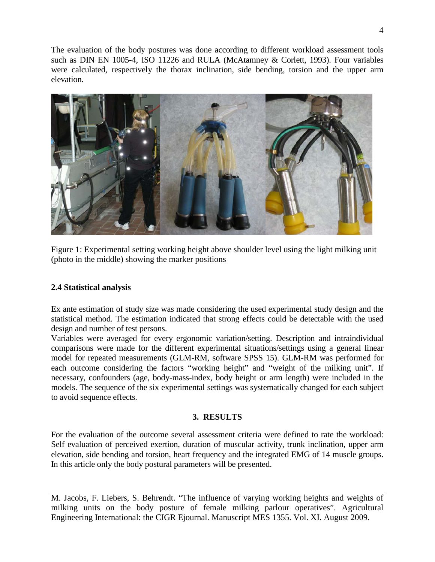The evaluation of the body postures was done according to different workload assessment tools such as DIN EN 1005-4, ISO 11226 and RULA (McAtamney & Corlett, 1993). Four variables were calculated, respectively the thorax inclination, side bending, torsion and the upper arm elevation.



Figure 1: Experimental setting working height above shoulder level using the light milking unit (photo in the middle) showing the marker positions

## **2.4 Statistical analysis**

Ex ante estimation of study size was made considering the used experimental study design and the statistical method. The estimation indicated that strong effects could be detectable with the used design and number of test persons.

Variables were averaged for every ergonomic variation/setting. Description and intraindividual comparisons were made for the different experimental situations/settings using a general linear model for repeated measurements (GLM-RM, software SPSS 15). GLM-RM was performed for each outcome considering the factors "working height" and "weight of the milking unit". If necessary, confounders (age, body-mass-index, body height or arm length) were included in the models. The sequence of the six experimental settings was systematically changed for each subject to avoid sequence effects.

## **3. RESULTS**

For the evaluation of the outcome several assessment criteria were defined to rate the workload: Self evaluation of perceived exertion, duration of muscular activity, trunk inclination, upper arm elevation, side bending and torsion, heart frequency and the integrated EMG of 14 muscle groups. In this article only the body postural parameters will be presented.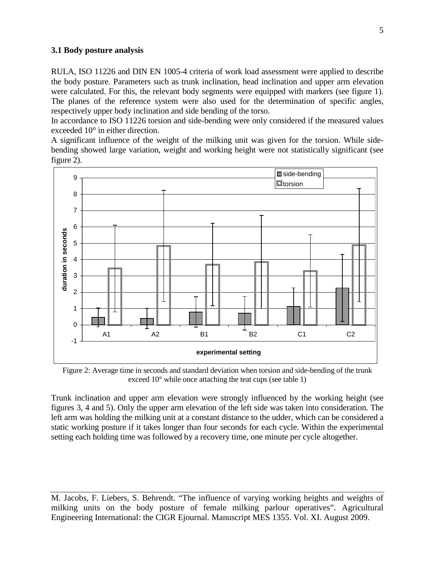## **3.1 Body posture analysis**

RULA, ISO 11226 and DIN EN 1005-4 criteria of work load assessment were applied to describe the body posture. Parameters such as trunk inclination, head inclination and upper arm elevation were calculated. For this, the relevant body segments were equipped with markers (see figure 1). The planes of the reference system were also used for the determination of specific angles, respectively upper body inclination and side bending of the torso.

In accordance to ISO 11226 torsion and side-bending were only considered if the measured values exceeded 10° in either direction.

A significant influence of the weight of the milking unit was given for the torsion. While sidebending showed large variation, weight and working height were not statistically significant (see figure 2).



Figure 2: Average time in seconds and standard deviation when torsion and side-bending of the trunk exceed 10° while once attaching the teat cups (see table 1)

Trunk inclination and upper arm elevation were strongly influenced by the working height (see figures 3, 4 and 5). Only the upper arm elevation of the left side was taken into consideration. The left arm was holding the milking unit at a constant distance to the udder, which can be considered a static working posture if it takes longer than four seconds for each cycle. Within the experimental setting each holding time was followed by a recovery time, one minute per cycle altogether.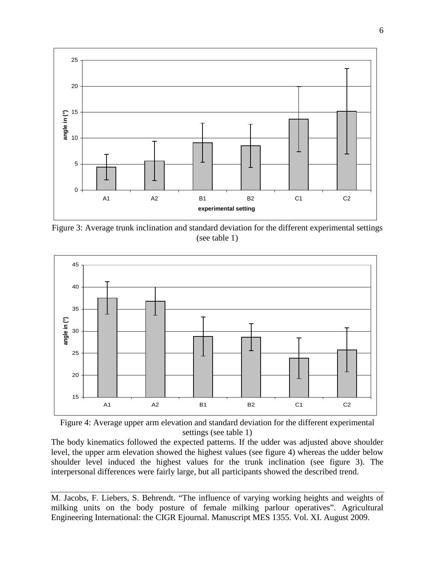

Figure 3: Average trunk inclination and standard deviation for the different experimental settings (see table 1)





The body kinematics followed the expected patterns. If the udder was adjusted above shoulder level, the upper arm elevation showed the highest values (see figure 4) whereas the udder below shoulder level induced the highest values for the trunk inclination (see figure 3). The interpersonal differences were fairly large, but all participants showed the described trend.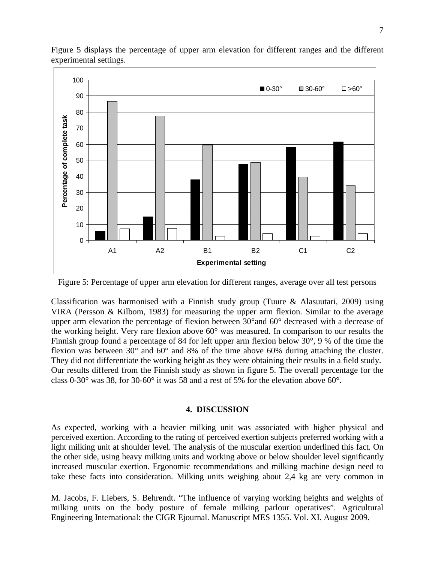

Figure 5 displays the percentage of upper arm elevation for different ranges and the different experimental settings.

Figure 5: Percentage of upper arm elevation for different ranges, average over all test persons

Classification was harmonised with a Finnish study group (Tuure & Alasuutari, 2009) using VIRA (Persson & Kilbom, 1983) for measuring the upper arm flexion. Similar to the average upper arm elevation the percentage of flexion between 30°and 60° decreased with a decrease of the working height. Very rare flexion above 60° was measured. In comparison to our results the Finnish group found a percentage of 84 for left upper arm flexion below 30°, 9 % of the time the flexion was between 30° and 60° and 8% of the time above 60% during attaching the cluster. They did not differentiate the working height as they were obtaining their results in a field study. Our results differed from the Finnish study as shown in figure 5. The overall percentage for the class 0-30° was 38, for 30-60° it was 58 and a rest of 5% for the elevation above 60°.

## **4. DISCUSSION**

As expected, working with a heavier milking unit was associated with higher physical and perceived exertion. According to the rating of perceived exertion subjects preferred working with a light milking unit at shoulder level. The analysis of the muscular exertion underlined this fact. On the other side, using heavy milking units and working above or below shoulder level significantly increased muscular exertion. Ergonomic recommendations and milking machine design need to take these facts into consideration. Milking units weighing about 2,4 kg are very common in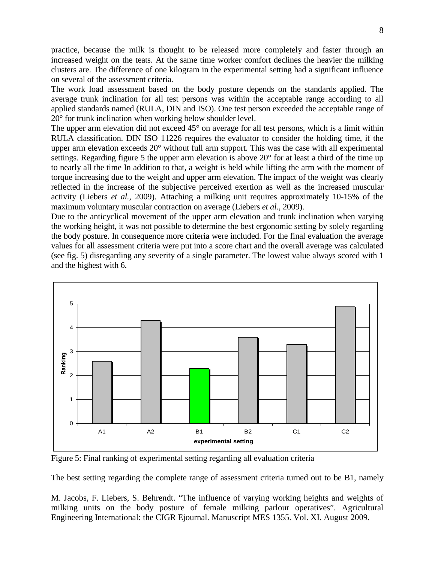practice, because the milk is thought to be released more completely and faster through an increased weight on the teats. At the same time worker comfort declines the heavier the milking clusters are. The difference of one kilogram in the experimental setting had a significant influence on several of the assessment criteria.

The work load assessment based on the body posture depends on the standards applied. The average trunk inclination for all test persons was within the acceptable range according to all applied standards named (RULA, DIN and ISO). One test person exceeded the acceptable range of 20° for trunk inclination when working below shoulder level.

The upper arm elevation did not exceed 45<sup>°</sup> on average for all test persons, which is a limit within RULA classification. DIN ISO 11226 requires the evaluator to consider the holding time, if the upper arm elevation exceeds 20° without full arm support. This was the case with all experimental settings. Regarding figure 5 the upper arm elevation is above 20<sup>°</sup> for at least a third of the time up to nearly all the time In addition to that, a weight is held while lifting the arm with the moment of torque increasing due to the weight and upper arm elevation. The impact of the weight was clearly reflected in the increase of the subjective perceived exertion as well as the increased muscular activity (Liebers *et al.*, 2009). Attaching a milking unit requires approximately 10-15% of the maximum voluntary muscular contraction on average (Liebers *et al*., 2009).

Due to the anticyclical movement of the upper arm elevation and trunk inclination when varying the working height, it was not possible to determine the best ergonomic setting by solely regarding the body posture. In consequence more criteria were included. For the final evaluation the average values for all assessment criteria were put into a score chart and the overall average was calculated (see fig. 5) disregarding any severity of a single parameter. The lowest value always scored with 1 and the highest with 6.



Figure 5: Final ranking of experimental setting regarding all evaluation criteria

The best setting regarding the complete range of assessment criteria turned out to be B1, namely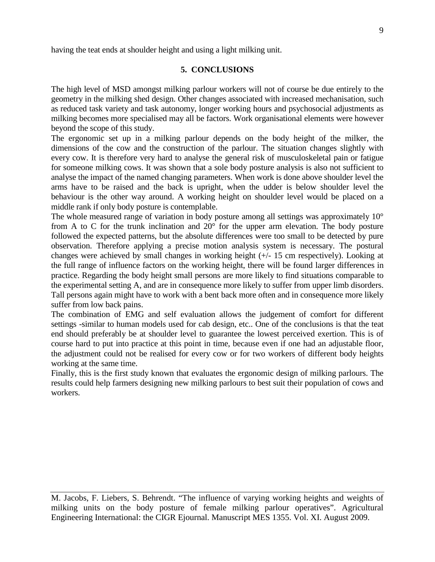having the teat ends at shoulder height and using a light milking unit.

### **5. CONCLUSIONS**

The high level of MSD amongst milking parlour workers will not of course be due entirely to the geometry in the milking shed design. Other changes associated with increased mechanisation, such as reduced task variety and task autonomy, longer working hours and psychosocial adjustments as milking becomes more specialised may all be factors. Work organisational elements were however beyond the scope of this study.

The ergonomic set up in a milking parlour depends on the body height of the milker, the dimensions of the cow and the construction of the parlour. The situation changes slightly with every cow. It is therefore very hard to analyse the general risk of musculoskeletal pain or fatigue for someone milking cows. It was shown that a sole body posture analysis is also not sufficient to analyse the impact of the named changing parameters. When work is done above shoulder level the arms have to be raised and the back is upright, when the udder is below shoulder level the behaviour is the other way around. A working height on shoulder level would be placed on a middle rank if only body posture is contemplable.

The whole measured range of variation in body posture among all settings was approximately 10<sup>°</sup> from A to C for the trunk inclination and 20° for the upper arm elevation. The body posture followed the expected patterns, but the absolute differences were too small to be detected by pure observation. Therefore applying a precise motion analysis system is necessary. The postural changes were achieved by small changes in working height (+/- 15 cm respectively). Looking at the full range of influence factors on the working height, there will be found larger differences in practice. Regarding the body height small persons are more likely to find situations comparable to the experimental setting A, and are in consequence more likely to suffer from upper limb disorders. Tall persons again might have to work with a bent back more often and in consequence more likely suffer from low back pains.

The combination of EMG and self evaluation allows the judgement of comfort for different settings -similar to human models used for cab design, etc.. One of the conclusions is that the teat end should preferably be at shoulder level to guarantee the lowest perceived exertion. This is of course hard to put into practice at this point in time, because even if one had an adjustable floor, the adjustment could not be realised for every cow or for two workers of different body heights working at the same time.

Finally, this is the first study known that evaluates the ergonomic design of milking parlours. The results could help farmers designing new milking parlours to best suit their population of cows and workers.